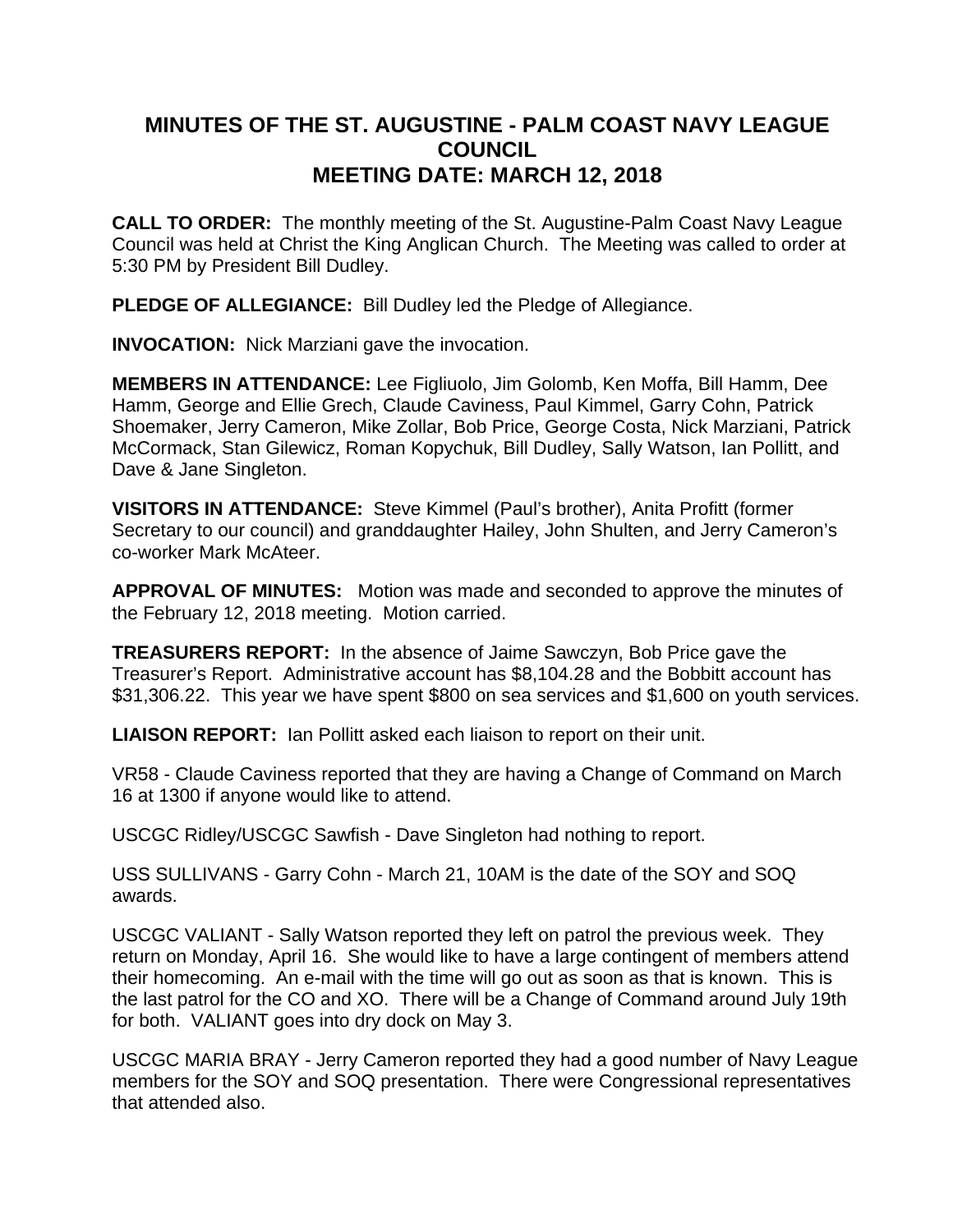## **MINUTES OF THE ST. AUGUSTINE - PALM COAST NAVY LEAGUE COUNCIL MEETING DATE: MARCH 12, 2018**

**CALL TO ORDER:** The monthly meeting of the St. Augustine-Palm Coast Navy League Council was held at Christ the King Anglican Church. The Meeting was called to order at 5:30 PM by President Bill Dudley.

**PLEDGE OF ALLEGIANCE:** Bill Dudley led the Pledge of Allegiance.

**INVOCATION:** Nick Marziani gave the invocation.

**MEMBERS IN ATTENDANCE:** Lee Figliuolo, Jim Golomb, Ken Moffa, Bill Hamm, Dee Hamm, George and Ellie Grech, Claude Caviness, Paul Kimmel, Garry Cohn, Patrick Shoemaker, Jerry Cameron, Mike Zollar, Bob Price, George Costa, Nick Marziani, Patrick McCormack, Stan Gilewicz, Roman Kopychuk, Bill Dudley, Sally Watson, Ian Pollitt, and Dave & Jane Singleton.

**VISITORS IN ATTENDANCE:** Steve Kimmel (Paul's brother), Anita Profitt (former Secretary to our council) and granddaughter Hailey, John Shulten, and Jerry Cameron's co-worker Mark McAteer.

**APPROVAL OF MINUTES:** Motion was made and seconded to approve the minutes of the February 12, 2018 meeting. Motion carried.

**TREASURERS REPORT:** In the absence of Jaime Sawczyn, Bob Price gave the Treasurer's Report. Administrative account has \$8,104.28 and the Bobbitt account has \$31,306.22. This year we have spent \$800 on sea services and \$1,600 on youth services.

**LIAISON REPORT:** Ian Pollitt asked each liaison to report on their unit.

VR58 - Claude Caviness reported that they are having a Change of Command on March 16 at 1300 if anyone would like to attend.

USCGC Ridley/USCGC Sawfish - Dave Singleton had nothing to report.

USS SULLIVANS - Garry Cohn - March 21, 10AM is the date of the SOY and SOQ awards.

USCGC VALIANT - Sally Watson reported they left on patrol the previous week. They return on Monday, April 16. She would like to have a large contingent of members attend their homecoming. An e-mail with the time will go out as soon as that is known. This is the last patrol for the CO and XO. There will be a Change of Command around July 19th for both. VALIANT goes into dry dock on May 3.

USCGC MARIA BRAY - Jerry Cameron reported they had a good number of Navy League members for the SOY and SOQ presentation. There were Congressional representatives that attended also.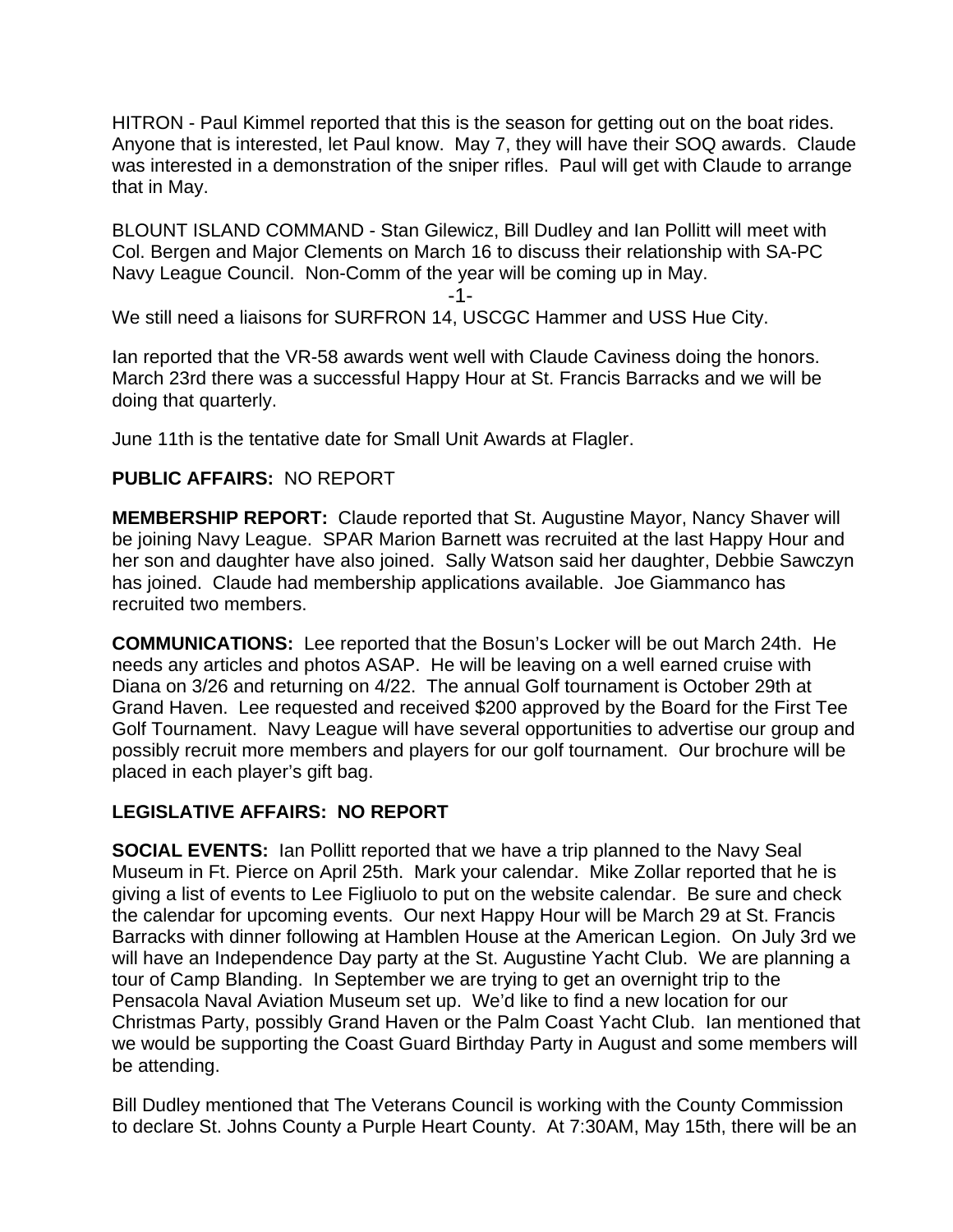HITRON - Paul Kimmel reported that this is the season for getting out on the boat rides. Anyone that is interested, let Paul know. May 7, they will have their SOQ awards. Claude was interested in a demonstration of the sniper rifles. Paul will get with Claude to arrange that in May.

BLOUNT ISLAND COMMAND - Stan Gilewicz, Bill Dudley and Ian Pollitt will meet with Col. Bergen and Major Clements on March 16 to discuss their relationship with SA-PC Navy League Council. Non-Comm of the year will be coming up in May.

-1-

We still need a liaisons for SURFRON 14, USCGC Hammer and USS Hue City.

Ian reported that the VR-58 awards went well with Claude Caviness doing the honors. March 23rd there was a successful Happy Hour at St. Francis Barracks and we will be doing that quarterly.

June 11th is the tentative date for Small Unit Awards at Flagler.

## **PUBLIC AFFAIRS:** NO REPORT

**MEMBERSHIP REPORT:** Claude reported that St. Augustine Mayor, Nancy Shaver will be joining Navy League. SPAR Marion Barnett was recruited at the last Happy Hour and her son and daughter have also joined. Sally Watson said her daughter, Debbie Sawczyn has joined. Claude had membership applications available. Joe Giammanco has recruited two members.

**COMMUNICATIONS:** Lee reported that the Bosun's Locker will be out March 24th. He needs any articles and photos ASAP. He will be leaving on a well earned cruise with Diana on 3/26 and returning on 4/22. The annual Golf tournament is October 29th at Grand Haven. Lee requested and received \$200 approved by the Board for the First Tee Golf Tournament. Navy League will have several opportunities to advertise our group and possibly recruit more members and players for our golf tournament. Our brochure will be placed in each player's gift bag.

## **LEGISLATIVE AFFAIRS: NO REPORT**

**SOCIAL EVENTS:** Ian Pollitt reported that we have a trip planned to the Navy Seal Museum in Ft. Pierce on April 25th. Mark your calendar. Mike Zollar reported that he is giving a list of events to Lee Figliuolo to put on the website calendar. Be sure and check the calendar for upcoming events. Our next Happy Hour will be March 29 at St. Francis Barracks with dinner following at Hamblen House at the American Legion. On July 3rd we will have an Independence Day party at the St. Augustine Yacht Club. We are planning a tour of Camp Blanding. In September we are trying to get an overnight trip to the Pensacola Naval Aviation Museum set up. We'd like to find a new location for our Christmas Party, possibly Grand Haven or the Palm Coast Yacht Club. Ian mentioned that we would be supporting the Coast Guard Birthday Party in August and some members will be attending.

Bill Dudley mentioned that The Veterans Council is working with the County Commission to declare St. Johns County a Purple Heart County. At 7:30AM, May 15th, there will be an